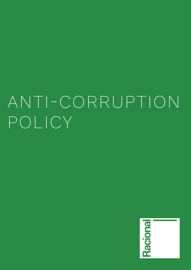# ANTI-CORRUPTION POLICY

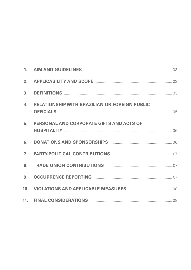| 2.             |                                                                                                         |  |
|----------------|---------------------------------------------------------------------------------------------------------|--|
| 3 <sub>1</sub> |                                                                                                         |  |
| 4.             | <b>RELATIONSHIP WITH BRAZILIAN OR FOREIGN PUBLIC</b>                                                    |  |
| 5.             | PERSONAL AND CORPORATE GIFTS AND ACTS OF                                                                |  |
| 6.             | <b>DONATIONS AND SPONSORSHIPS MANUAL CONSERVATIONS AND SPONSORSHIPS</b> MANUAL MANUAL MANUAL MELTICS OF |  |
| $\mathbb{Z}$   |                                                                                                         |  |
| 8.             |                                                                                                         |  |
| 9 <sub>1</sub> |                                                                                                         |  |
|                |                                                                                                         |  |
|                |                                                                                                         |  |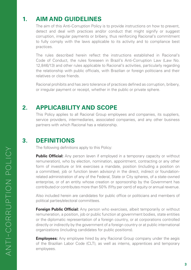# **1. AIM AND GUIDELINES**

 The aim of this Anti-Corruption Policy is to provide instructions on how to prevent, detect and deal with practices and/or conduct that might signify or suggest corruption, irregular payments or bribery, thus reinforcing Racional's commitment to fully comply with the laws applicable to its activity and to compliance best practices.

 The rules described herein reflect the instructions established in Racional's Code of Conduct, the rules foreseen in Brazil's Anti-Corruption Law (Law No. 12,846/13) and other rules applicable to Racional's activities, particularly regarding the relationship with public officials, with Brazilian or foreign politicians and their relatives or close friends.

 Racional prohibits and has zero tolerance of practices defined as corruption, bribery, or irregular payment or receipt, whether in the public or private sphere.

#### **2. APPLICABILITY AND SCOPE**

 This Policy applies to all Racional Group employees and companies, its suppliers, service providers, intermediaries, associated companies, and any other business partners with which Racional has a relationship.

#### **3. DEFINITIONS**

The following definitions apply to this Policy:

**Public Official:** Any person (even if employed in a temporary capacity or without remuneration), who by election, nomination, appointment, contracting or any other form of investiture or link exercises a mandate, position (including a position on a committee), job or function (even advisory) in the direct, indirect or foundationrelated administration of any of the Federal, State or City spheres, of a state-owned enterprise, or of an entity whose creation or sponsorship by the Government has contributed or contributes more than 50% (fifty per cent) of equity or annual revenue.

 Also included herein are candidates for public office or politicians and members of political parties/electoral committees.

**Foreign Public Official:** Any person who exercises, albeit temporarily or without remuneration, a position, job or public function at government bodies, state entities or the diplomatic representation of a foreign country, or at corporations controlled directly or indirectly by the government of a foreign country or at public international organizations (including candidates for public positions).

**Employees:** Any employee hired by any Racional Group company under the aegis of the Brazilian Labor Code (CLT), as well as interns, apprentices and temporary employees.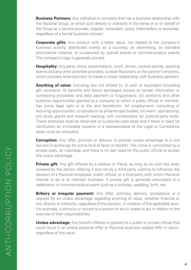**Business Partners:** Any individual or company that has a business relationship with the Racional Group, or which acts directly or indirectly in the name of or on behalf of the Group as a service provider, supplier, consultant, proxy, intermediary or associate, regardless of a formal business contract.

 **Corporate gifts:** Any product with a token value, not related to the company's business activity, distributed evenly as a courtesy, as advertising, as standard promotional material, or occasioned by special events or commemorative events The company's logo is generally printed.

**Hospitality:** Any party, show, presentations, lunch, dinner, cocktail parties, sporting events and any other activities provided, outside Racional's or the partner's environs, which provides entertainment to create a closer relationship with business partners.

 **Anything of value:** Including, but not limited to: (i) cash or equivalent (including gift vouchers); (ii) benefits and favors (privileged access to certain information or contracting processes and debt payment or forgiveness); (iii) contracts and other business opportunities granted to a company to which a public official is member, has some legal right or is the end benefactor; (iv) employment, consulting or lecturing opportunities; (v) donations to philanthropic bodies; (vi) event sponsorship; (vii) study grants and research backing; (viii) contributions for political-party ends. These examples shall be observed on a case-by-case basis and if there is need for clarification an immediate superior or a representative of the Legal or Compliance areas must be consulted.

**Corruption:** Any offer, promise or delivery to provide undue advantage to a civil servant in exchange for some kind of favor or benefit. The crime is committed by a private body, an individual, and there is no real need for the public official to accept the undue advantage.

**Private gift:** Any gift offered by a relative or friend, as long as its cost has been covered by the person offering it and not by a third party wishing to influence the decision of a Racional employee, public official, or a third party with whom Racional intends to do or to maintain business. A private gift is generally associated to a celebration or commemorative event such as a birthday, wedding, birth, etc.

**Bribery or irregular payment:** Any offer, promise, delivery, acceptance or a request for an undue advantage regarding anything of value, whether financial or not, directly or indirectly, regardless of the position, in violation of the applicable laws. For example, a stimulus or reward to a person to act or cease to act in relation to the exercise of their responsibilities.

 **Undue advantage:** Any benefit offered or granted to a public or private official that could result in an undue personal offer or Racional business-related offer in return, regardless of the value.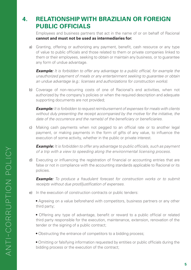# **4. RELATIONSHIP WITH BRAZILIAN OR FOREIGN PUBLIC OFFICIALS**

 Employees and business partners that act in the name of or on behalf of Racional **cannot and must not be used as intermediaries for:**

a) Granting, offering or authorizing any payment, benefit, cash resource or any type of value to public officials and those related to them or private companies linked to them or their employees, seeking to obtain or maintain any business, or to guarantee any form of undue advantage.

 *Example: It is forbidden to offer any advantage to a public official, for example the unauthorized payment of meals or any entertainment seeking to guarantee or obtain an undue advantage (e.g.: licenses and authorizations for construction works).*

b) Coverage of non-recurring costs of one of Racional's end activities, when not authorized by the company's policies or when the required description and adequate supporting documents are not provided;

 *Example: It is forbidden to request reimbursement of expenses for meals with clients without duly presenting the receipt accompanied by the motive for the initiative, the date of the occurrence and the name(s) of the beneficiary or beneficiaries.*

c) Making cash payments when not pegged to an official rate or to another legal payment, or making payments in the form of gifts of any value, to influence the execution of some activity, whether in the public or private interest.

 *Example: It is forbidden to offer any advantage to public officials, such as payment of a trip with a view to speeding along the environmental licensing process.*

d) Executing or influencing the registration of financial or accounting entries that are false or not in compliance with the accounting standards applicable to Racional or its policies.

*Example: To produce a fraudulent forecast for construction works or to submit receipts without due proof/justification of expenses.*

- e) In the execution of construction contracts or public tenders:
	- **•** Agreeing on a value beforehand with competitors, business partners or any other third party;
	- **•** Offering any type of advantage, benefit or reward to a public official or related third party responsible for the execution, maintenance, extension, renovation of the tender or the signing of a public contract;
	- Obstructing the entrance of competitors to a bidding process;
	- **•** Omitting or falsifying information requested by entities or public officials during the bidding process or the execution of the contract;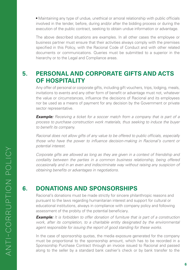**•** Maintaining any type of undue, unethical or amoral relationship with public officials involved in the tender, before, during and/or after the bidding process or during the execution of the public contract, seeking to obtain undue information or advantage.

 The above described situations are examples. In all other cases the employee or business partner must ensure that their activities always comply with the premises specified in this Policy, with the Racional Code of Conduct and with other related documents or communications. Queries must be submitted to a superior in the hierarchy or to the Legal and Compliance areas.

#### **5. PERSONAL AND CORPORATE GIFTS AND ACTS OF HOSPITALITY**

 Any offer of personal or corporate gifts, including gift vouchers, trips, lodging, meals, invitations to events and any other form of benefit or advantage must not, whatever the value or circumstances, influence the decisions of Racional and its employees nor be used as a means of payment for any decision by the Government or private sector representative.

 *Example: Receiving a ticket for a soccer match from a company that is part of a process to purchase construction work materials, thus seeking to induce the buyer to benefit its company.*

 *Racional does not allow gifts of any value to be offered to public officials, especially those who have the power to influence decision-making in Racional's current or potential interest.*

 *Corporate gifts are allowed as long as they are given in a context of friendship and cordiality between the parties in a common business relationship, being offered occasionally and in an even and indiscriminate way without raising any suspicion of obtaining benefits or advantages in negotiations*.

### **6. DONATIONS AND SPONSORSHIPS**

 Racional's donations must be made strictly for sincere philanthropic reasons and pursuant to the laws regarding humanitarian interest and support for cultural or educational institutions, always in compliance with company policy and following assessment of the probity of the potential beneficiary.

 *Example: It is forbidden to offer donation of furniture that is part of a construction work, after its completion, to a charitable entity designated by the environmental agent responsible for issuing the report of good standing for these works.*

 In the case of sponsorship quotas, the media exposure generated for the company must be proportional to the sponsorship amount, which has to be recorded in a Sponsorship Purchase Contract through an invoice issued to Racional and passed along to the seller by a standard bank cashier's check or by bank transfer to the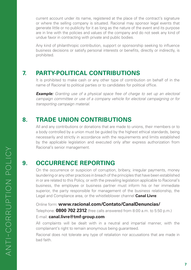current account under its name, registered at the place of the contract's signature or where the selling company is situated. Racional may sponsor legal events that generate little or no publicity for it as long as the nature of the event and its purpose are in line with the policies and values of the company and do not seek any kind of undue favor in contracting with private and public bodies.

 Any kind of philanthropic contribution, support or sponsorship seeking to influence business decisions or satisfy personal interests or benefits, directly or indirectly, is prohibited.

#### **7. PARTY-POLITICAL CONTRIBUTIONS**

 It is prohibited to make cash or any other type of contribution on behalf of in the name of Racional to political parties or to candidates for political office.

*Example: Granting use of a physical space free of charge to set up an electoral campaign committee or use of a company vehicle for electoral campaigning or for transporting campaign material.*

#### **8. TRADE UNION CONTRIBUTIONS**

 All and any contributions or donations that are made to unions, their members or to a body controlled by a union must be guided by the highest ethical standards, being necessarily and strictly in accordance with the requirements and limits established by the applicable legislation and executed only after express authorization from Racional's senior management.

#### **9. OCCURRENCE REPORTING**

 On the occurrence or suspicion of corruption, bribery, irregular payments, money laundering or any other practices in breach of the principles that have been established in or are related to this Policy, or with the prevailing legislation applicable to Racional's business, the employee or business partner must inform his or her immediate superior, the party responsible for management of the business relationship, the Legal and Compliance area, or the whistleblower channel **Canal Livre**:

Online form: **www.racional.com/Contato/CanalDenuncias/**

Telephone: **0800 702 2312** (free calls answered from 8:00 a.m. to 5:50 p.m.)

#### E-mail: **canal.livre@tmf-group.com**

 All complaints will be dealt with in a neutral and impartial manner, with the complainant's right to remain anonymous being guaranteed.

 Racional does not tolerate any type of retaliation nor accusations that are made in bad faith.